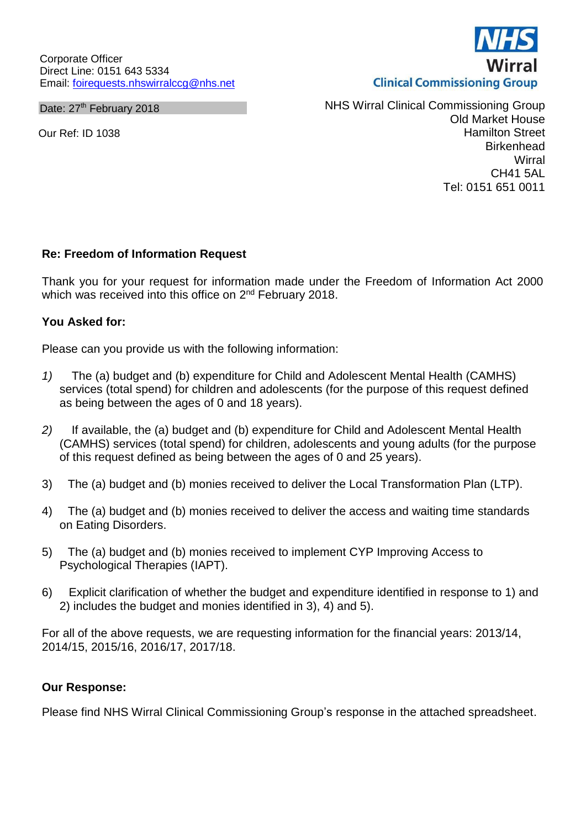Corporate Officer Direct Line: 0151 643 5334 Email: [foirequests.nhswirralccg@nhs.net](mailto:foirequests.nhswirralccg@nhs.net)

Date: 27<sup>th</sup> February 2018

Our Ref: ID 1038

NHS Wirral Clinical Commissioning Group Old Market House Hamilton Street **Birkenhead Wirral** CH41 5AL Tel: 0151 651 0011

## **Re: Freedom of Information Request**

Thank you for your request for information made under the Freedom of Information Act 2000 which was received into this office on 2<sup>nd</sup> February 2018.

## **You Asked for:**

Please can you provide us with the following information:

- *1)* The (a) budget and (b) expenditure for Child and Adolescent Mental Health (CAMHS) services (total spend) for children and adolescents (for the purpose of this request defined as being between the ages of 0 and 18 years).
- *2)* If available, the (a) budget and (b) expenditure for Child and Adolescent Mental Health (CAMHS) services (total spend) for children, adolescents and young adults (for the purpose of this request defined as being between the ages of 0 and 25 years).
- 3) The (a) budget and (b) monies received to deliver the Local Transformation Plan (LTP).
- 4) The (a) budget and (b) monies received to deliver the access and waiting time standards on Eating Disorders.
- 5) The (a) budget and (b) monies received to implement CYP Improving Access to Psychological Therapies (IAPT).
- 6) Explicit clarification of whether the budget and expenditure identified in response to 1) and 2) includes the budget and monies identified in 3), 4) and 5).

For all of the above requests, we are requesting information for the financial years: 2013/14, 2014/15, 2015/16, 2016/17, 2017/18.

## **Our Response:**

Please find NHS Wirral Clinical Commissioning Group's response in the attached spreadsheet.